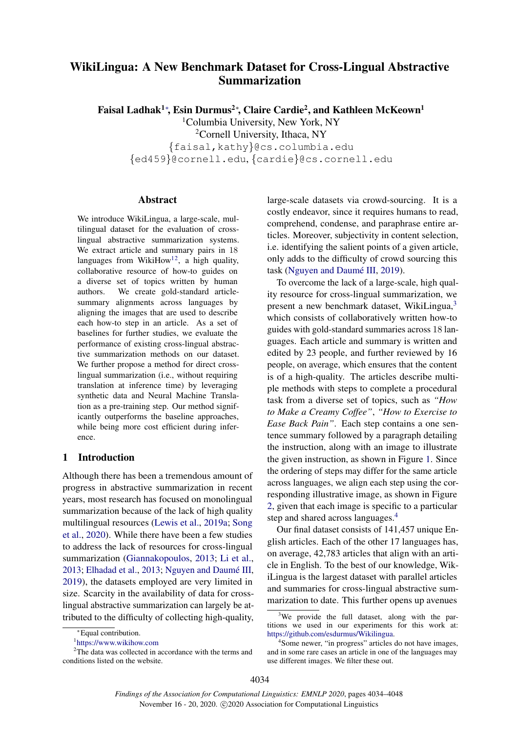# WikiLingua: A New Benchmark Dataset for Cross-Lingual Abstractive Summarization

Faisal Ladhak<sup>1∗</sup>, Esin Durmus<sup>2</sup>\*, Claire Cardie<sup>2</sup>, and Kathleen McKeown<sup>1</sup>

<sup>1</sup>Columbia University, New York, NY <sup>2</sup>Cornell University, Ithaca, NY

{faisal,kathy}@cs.columbia.edu {ed459}@cornell.edu, {cardie}@cs.cornell.edu

### Abstract

We introduce WikiLingua, a large-scale, multilingual dataset for the evaluation of crosslingual abstractive summarization systems. We extract article and summary pairs in 18 languages from WikiHow<sup>[1](#page-0-0)[2](#page-0-1)</sup>, a high quality, collaborative resource of how-to guides on a diverse set of topics written by human authors. We create gold-standard articlesummary alignments across languages by aligning the images that are used to describe each how-to step in an article. As a set of baselines for further studies, we evaluate the performance of existing cross-lingual abstractive summarization methods on our dataset. We further propose a method for direct crosslingual summarization (i.e., without requiring translation at inference time) by leveraging synthetic data and Neural Machine Translation as a pre-training step. Our method significantly outperforms the baseline approaches, while being more cost efficient during inference.

## 1 Introduction

Although there has been a tremendous amount of progress in abstractive summarization in recent years, most research has focused on monolingual summarization because of the lack of high quality multilingual resources [\(Lewis et al.,](#page-9-0) [2019a;](#page-9-0) [Song](#page-10-0) [et al.,](#page-10-0) [2020\)](#page-10-0). While there have been a few studies to address the lack of resources for cross-lingual summarization [\(Giannakopoulos,](#page-8-0) [2013;](#page-8-0) [Li et al.,](#page-9-1) [2013;](#page-8-1) [Elhadad et al.,](#page-8-1) 2013; Nguyen and Daumé III, [2019\)](#page-9-2), the datasets employed are very limited in size. Scarcity in the availability of data for crosslingual abstractive summarization can largely be attributed to the difficulty of collecting high-quality,

large-scale datasets via crowd-sourcing. It is a costly endeavor, since it requires humans to read, comprehend, condense, and paraphrase entire articles. Moreover, subjectivity in content selection, i.e. identifying the salient points of a given article, only adds to the difficulty of crowd sourcing this task (Nguyen and Daumé III, [2019\)](#page-9-2).

To overcome the lack of a large-scale, high quality resource for cross-lingual summarization, we present a new benchmark dataset, WikiLingua,[3](#page-0-2) which consists of collaboratively written how-to guides with gold-standard summaries across 18 languages. Each article and summary is written and edited by 23 people, and further reviewed by 16 people, on average, which ensures that the content is of a high-quality. The articles describe multiple methods with steps to complete a procedural task from a diverse set of topics, such as *"How to Make a Creamy Coffee"*, *"How to Exercise to Ease Back Pain"*. Each step contains a one sentence summary followed by a paragraph detailing the instruction, along with an image to illustrate the given instruction, as shown in Figure [1.](#page-1-0) Since the ordering of steps may differ for the same article across languages, we align each step using the corresponding illustrative image, as shown in Figure [2,](#page-2-0) given that each image is specific to a particular step and shared across languages.<sup>[4](#page-0-3)</sup>

Our final dataset consists of 141,457 unique English articles. Each of the other 17 languages has, on average, 42,783 articles that align with an article in English. To the best of our knowledge, WikiLingua is the largest dataset with parallel articles and summaries for cross-lingual abstractive summarization to date. This further opens up avenues

<sup>∗</sup>Equal contribution.

<span id="page-0-1"></span><span id="page-0-0"></span><sup>1</sup> [https://www.wikihow.com](https://www.wikihow.com/)

<sup>&</sup>lt;sup>2</sup>The data was collected in accordance with the terms and conditions listed on the website.

<span id="page-0-2"></span><sup>&</sup>lt;sup>3</sup>We provide the full dataset, along with the partitions we used in our experiments for this work at: [https://github.com/esdurmus/Wikilingua.](https://github.com/esdurmus/Wikilingua)

<span id="page-0-3"></span><sup>4</sup> Some newer, "in progress" articles do not have images, and in some rare cases an article in one of the languages may use different images. We filter these out.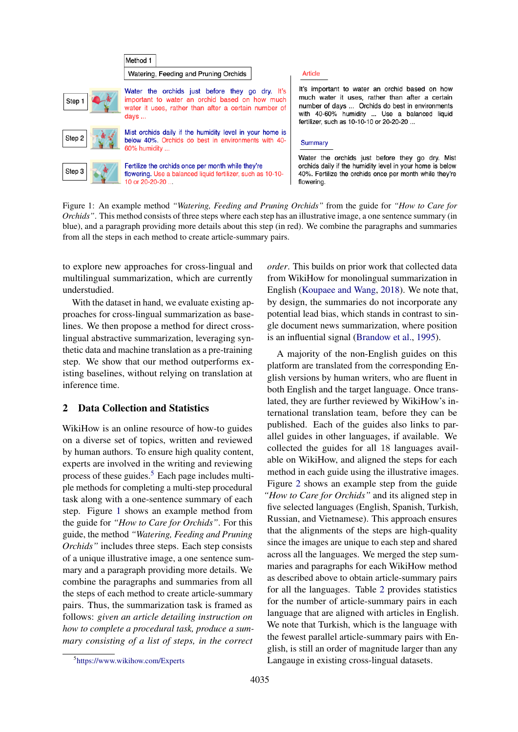<span id="page-1-0"></span>

Figure 1: An example method *"Watering, Feeding and Pruning Orchids"* from the guide for *"How to Care for Orchids"*. This method consists of three steps where each step has an illustrative image, a one sentence summary (in blue), and a paragraph providing more details about this step (in red). We combine the paragraphs and summaries from all the steps in each method to create article-summary pairs.

to explore new approaches for cross-lingual and multilingual summarization, which are currently understudied.

With the dataset in hand, we evaluate existing approaches for cross-lingual summarization as baselines. We then propose a method for direct crosslingual abstractive summarization, leveraging synthetic data and machine translation as a pre-training step. We show that our method outperforms existing baselines, without relying on translation at inference time.

## 2 Data Collection and Statistics

<span id="page-1-1"></span>WikiHow is an online resource of how-to guides on a diverse set of topics, written and reviewed by human authors. To ensure high quality content, experts are involved in the writing and reviewing process of these guides.<sup>[5](#page-1-1)</sup> Each page includes multiple methods for completing a multi-step procedural task along with a one-sentence summary of each step. Figure [1](#page-1-0) shows an example method from the guide for *"How to Care for Orchids"*. For this guide, the method *"Watering, Feeding and Pruning Orchids"* includes three steps. Each step consists of a unique illustrative image, a one sentence summary and a paragraph providing more details. We combine the paragraphs and summaries from all the steps of each method to create article-summary pairs. Thus, the summarization task is framed as follows: *given an article detailing instruction on how to complete a procedural task, produce a summary consisting of a list of steps, in the correct*

*order*. This builds on prior work that collected data from WikiHow for monolingual summarization in English [\(Koupaee and Wang,](#page-9-3) [2018\)](#page-9-3). We note that, by design, the summaries do not incorporate any potential lead bias, which stands in contrast to single document news summarization, where position is an influential signal [\(Brandow et al.,](#page-8-2) [1995\)](#page-8-2).

A majority of the non-English guides on this platform are translated from the corresponding English versions by human writers, who are fluent in both English and the target language. Once translated, they are further reviewed by WikiHow's international translation team, before they can be published. Each of the guides also links to parallel guides in other languages, if available. We collected the guides for all 18 languages available on WikiHow, and aligned the steps for each method in each guide using the illustrative images. Figure [2](#page-2-0) shows an example step from the guide *"How to Care for Orchids"* and its aligned step in five selected languages (English, Spanish, Turkish, Russian, and Vietnamese). This approach ensures that the alignments of the steps are high-quality since the images are unique to each step and shared across all the languages. We merged the step summaries and paragraphs for each WikiHow method as described above to obtain article-summary pairs for all the languages. Table [2](#page-3-0) provides statistics for the number of article-summary pairs in each language that are aligned with articles in English. We note that Turkish, which is the language with the fewest parallel article-summary pairs with English, is still an order of magnitude larger than any Langauge in existing cross-lingual datasets.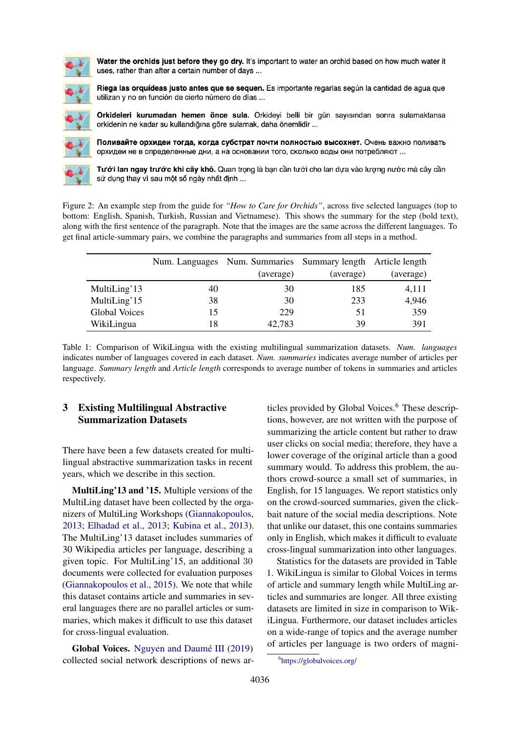<span id="page-2-0"></span>

Water the orchids just before they go dry. It's important to water an orchid based on how much water it uses, rather than after a certain number of days ...



Riega las orguídeas justo antes que se seguen. Es importante regarlas según la cantidad de agua que utilizan y no en función de cierto número de días ...

Orkideleri kurumadan hemen önce sula. Orkideyi belli bir gün sayısından sonra sulamaktansa orkidenin ne kadar su kullandığına göre sulamak, daha önemlidir ...



Поливайте орхидеи тогда, когда субстрат почти полностью высохнет. Очень важно поливать орхидеи не в определенные дни, а на основании того, сколько воды они потребляют ...

Tưới lan ngay trước khi cây khô. Quan trọng là bạn cần tưới cho lan dựa vào lượng nước mà cây cần sử dụng thay vì sau một số ngày nhất định ...

Figure 2: An example step from the guide for *"How to Care for Orchids"*, across five selected languages (top to bottom: English, Spanish, Turkish, Russian and Vietnamese). This shows the summary for the step (bold text), along with the first sentence of the paragraph. Note that the images are the same across the different languages. To get final article-summary pairs, we combine the paragraphs and summaries from all steps in a method.

<span id="page-2-2"></span>

|                      |    | Num. Languages Num. Summaries Summary length Article length |           |           |
|----------------------|----|-------------------------------------------------------------|-----------|-----------|
|                      |    | (average)                                                   | (average) | (average) |
| MultiLing'13         | 40 | 30                                                          | 185       | 4,111     |
| MultiLing'15         | 38 | 30                                                          | 233       | 4,946     |
| <b>Global Voices</b> | 15 | 229                                                         | 51        | 359       |
| WikiLingua           | 18 | 42,783                                                      | 39        | 391       |

Table 1: Comparison of WikiLingua with the existing multilingual summarization datasets. *Num. languages* indicates number of languages covered in each dataset. *Num. summaries* indicates average number of articles per language. *Summary length* and *Article length* corresponds to average number of tokens in summaries and articles respectively.

## 3 Existing Multilingual Abstractive Summarization Datasets

There have been a few datasets created for multilingual abstractive summarization tasks in recent years, which we describe in this section.

MultiLing'13 and '15. Multiple versions of the MultiLing dataset have been collected by the organizers of MultiLing Workshops [\(Giannakopoulos,](#page-8-0) [2013;](#page-8-0) [Elhadad et al.,](#page-8-1) [2013;](#page-8-1) [Kubina et al.,](#page-9-4) [2013\)](#page-9-4). The MultiLing'13 dataset includes summaries of 30 Wikipedia articles per language, describing a given topic. For MultiLing'15, an additional 30 documents were collected for evaluation purposes [\(Giannakopoulos et al.,](#page-9-5) [2015\)](#page-9-5). We note that while this dataset contains article and summaries in several languages there are no parallel articles or summaries, which makes it difficult to use this dataset for cross-lingual evaluation.

Global Voices. Nguyen and Daumé III [\(2019\)](#page-9-2) collected social network descriptions of news articles provided by Global Voices.<sup>[6](#page-2-1)</sup> These descriptions, however, are not written with the purpose of summarizing the article content but rather to draw user clicks on social media; therefore, they have a lower coverage of the original article than a good summary would. To address this problem, the authors crowd-source a small set of summaries, in English, for 15 languages. We report statistics only on the crowd-sourced summaries, given the clickbait nature of the social media descriptions. Note that unlike our dataset, this one contains summaries only in English, which makes it difficult to evaluate cross-lingual summarization into other languages.

Statistics for the datasets are provided in Table [1.](#page-2-2) WikiLingua is similar to Global Voices in terms of article and summary length while MultiLing articles and summaries are longer. All three existing datasets are limited in size in comparison to WikiLingua. Furthermore, our dataset includes articles on a wide-range of topics and the average number of articles per language is two orders of magni-

<span id="page-2-1"></span><sup>6</sup> <https://globalvoices.org/>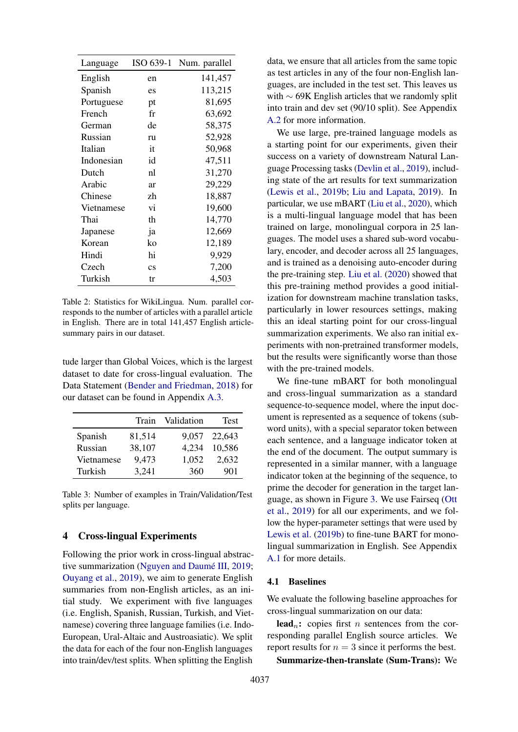<span id="page-3-0"></span>

| Language   | ISO 639-1              | Num. parallel |
|------------|------------------------|---------------|
| English    | en                     | 141,457       |
| Spanish    | es                     | 113,215       |
| Portuguese | pt                     | 81,695        |
| French     | fr                     | 63,692        |
| German     | de                     | 58,375        |
| Russian    | ru                     | 52,928        |
| Italian    | it                     | 50,968        |
| Indonesian | id                     | 47,511        |
| Dutch      | nl                     | 31,270        |
| Arabic     | ar                     | 29,229        |
| Chinese    | zh                     | 18,887        |
| Vietnamese | vi                     | 19,600        |
| Thai       | th                     | 14,770        |
| Japanese   | ja                     | 12,669        |
| Korean     | ko                     | 12,189        |
| Hindi      | hi                     | 9,929         |
| Czech      | $\overline{\text{cs}}$ | 7,200         |
| Turkish    | tr                     | 4,503         |

Table 2: Statistics for WikiLingua. Num. parallel corresponds to the number of articles with a parallel article in English. There are in total 141,457 English articlesummary pairs in our dataset.

tude larger than Global Voices, which is the largest dataset to date for cross-lingual evaluation. The Data Statement [\(Bender and Friedman,](#page-8-3) [2018\)](#page-8-3) for our dataset can be found in Appendix [A.3.](#page-11-0)

|            | Train  | Validation | Test   |
|------------|--------|------------|--------|
| Spanish    | 81,514 | 9,057      | 22,643 |
| Russian    | 38,107 | 4,234      | 10,586 |
| Vietnamese | 9,473  | 1,052      | 2,632  |
| Turkish    | 3,241  | 360        | 901    |

Table 3: Number of examples in Train/Validation/Test splits per language.

## 4 Cross-lingual Experiments

Following the prior work in cross-lingual abstrac-tive summarization (Nguyen and Daumé III, [2019;](#page-9-2) [Ouyang et al.,](#page-9-6) [2019\)](#page-9-6), we aim to generate English summaries from non-English articles, as an initial study. We experiment with five languages (i.e. English, Spanish, Russian, Turkish, and Vietnamese) covering three language families (i.e. Indo-European, Ural-Altaic and Austroasiatic). We split the data for each of the four non-English languages into train/dev/test splits. When splitting the English

data, we ensure that all articles from the same topic as test articles in any of the four non-English languages, are included in the test set. This leaves us with ∼ 69K English articles that we randomly split into train and dev set (90/10 split). See Appendix [A.2](#page-11-1) for more information.

We use large, pre-trained language models as a starting point for our experiments, given their success on a variety of downstream Natural Language Processing tasks [\(Devlin et al.,](#page-8-4) [2019\)](#page-8-4), including state of the art results for text summarization [\(Lewis et al.,](#page-9-7) [2019b;](#page-9-7) [Liu and Lapata,](#page-9-8) [2019\)](#page-9-8). In particular, we use mBART [\(Liu et al.,](#page-9-9) [2020\)](#page-9-9), which is a multi-lingual language model that has been trained on large, monolingual corpora in 25 languages. The model uses a shared sub-word vocabulary, encoder, and decoder across all 25 languages, and is trained as a denoising auto-encoder during the pre-training step. [Liu et al.](#page-9-9) [\(2020\)](#page-9-9) showed that this pre-training method provides a good initialization for downstream machine translation tasks, particularly in lower resources settings, making this an ideal starting point for our cross-lingual summarization experiments. We also ran initial experiments with non-pretrained transformer models, but the results were significantly worse than those with the pre-trained models.

We fine-tune mBART for both monolingual and cross-lingual summarization as a standard sequence-to-sequence model, where the input document is represented as a sequence of tokens (subword units), with a special separator token between each sentence, and a language indicator token at the end of the document. The output summary is represented in a similar manner, with a language indicator token at the beginning of the sequence, to prime the decoder for generation in the target language, as shown in Figure [3.](#page-4-0) We use Fairseq [\(Ott](#page-9-10) [et al.,](#page-9-10) [2019\)](#page-9-10) for all our experiments, and we follow the hyper-parameter settings that were used by [Lewis et al.](#page-9-7) [\(2019b\)](#page-9-7) to fine-tune BART for monolingual summarization in English. See Appendix [A.1](#page-11-2) for more details.

#### 4.1 Baselines

We evaluate the following baseline approaches for cross-lingual summarization on our data:

lead<sub>n</sub>: copies first *n* sentences from the corresponding parallel English source articles. We report results for  $n = 3$  since it performs the best.

Summarize-then-translate (Sum-Trans): We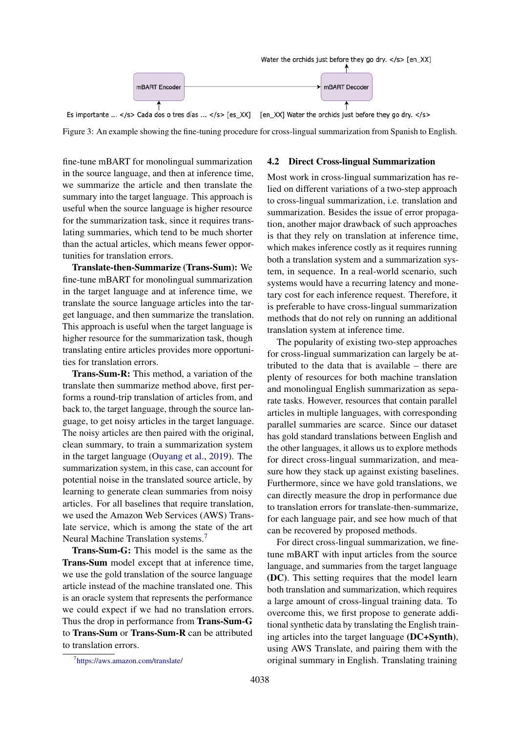<span id="page-4-0"></span>

Figure 3: An example showing the fine-tuning procedure for cross-lingual summarization from Spanish to English.

fine-tune mBART for monolingual summarization in the source language, and then at inference time, we summarize the article and then translate the summary into the target language. This approach is useful when the source language is higher resource for the summarization task, since it requires translating summaries, which tend to be much shorter than the actual articles, which means fewer opportunities for translation errors.

Translate-then-Summarize (Trans-Sum): We fine-tune mBART for monolingual summarization in the target language and at inference time, we translate the source language articles into the target language, and then summarize the translation. This approach is useful when the target language is higher resource for the summarization task, though translating entire articles provides more opportunities for translation errors.

Trans-Sum-R: This method, a variation of the translate then summarize method above, first performs a round-trip translation of articles from, and back to, the target language, through the source language, to get noisy articles in the target language. The noisy articles are then paired with the original, clean summary, to train a summarization system in the target language [\(Ouyang et al.,](#page-9-6) [2019\)](#page-9-6). The summarization system, in this case, can account for potential noise in the translated source article, by learning to generate clean summaries from noisy articles. For all baselines that require translation, we used the Amazon Web Services (AWS) Translate service, which is among the state of the art Neural Machine Translation systems.[7](#page-4-1)

Trans-Sum-G: This model is the same as the Trans-Sum model except that at inference time, we use the gold translation of the source language article instead of the machine translated one. This is an oracle system that represents the performance we could expect if we had no translation errors. Thus the drop in performance from Trans-Sum-G to Trans-Sum or Trans-Sum-R can be attributed to translation errors.

#### 4.2 Direct Cross-lingual Summarization

Most work in cross-lingual summarization has relied on different variations of a two-step approach to cross-lingual summarization, i.e. translation and summarization. Besides the issue of error propagation, another major drawback of such approaches is that they rely on translation at inference time, which makes inference costly as it requires running both a translation system and a summarization system, in sequence. In a real-world scenario, such systems would have a recurring latency and monetary cost for each inference request. Therefore, it is preferable to have cross-lingual summarization methods that do not rely on running an additional translation system at inference time.

The popularity of existing two-step approaches for cross-lingual summarization can largely be attributed to the data that is available – there are plenty of resources for both machine translation and monolingual English summarization as separate tasks. However, resources that contain parallel articles in multiple languages, with corresponding parallel summaries are scarce. Since our dataset has gold standard translations between English and the other languages, it allows us to explore methods for direct cross-lingual summarization, and measure how they stack up against existing baselines. Furthermore, since we have gold translations, we can directly measure the drop in performance due to translation errors for translate-then-summarize, for each language pair, and see how much of that can be recovered by proposed methods.

For direct cross-lingual summarization, we finetune mBART with input articles from the source language, and summaries from the target language (DC). This setting requires that the model learn both translation and summarization, which requires a large amount of cross-lingual training data. To overcome this, we first propose to generate additional synthetic data by translating the English training articles into the target language (DC+Synth), using AWS Translate, and pairing them with the original summary in English. Translating training

<span id="page-4-1"></span><sup>7</sup> <https://aws.amazon.com/translate/>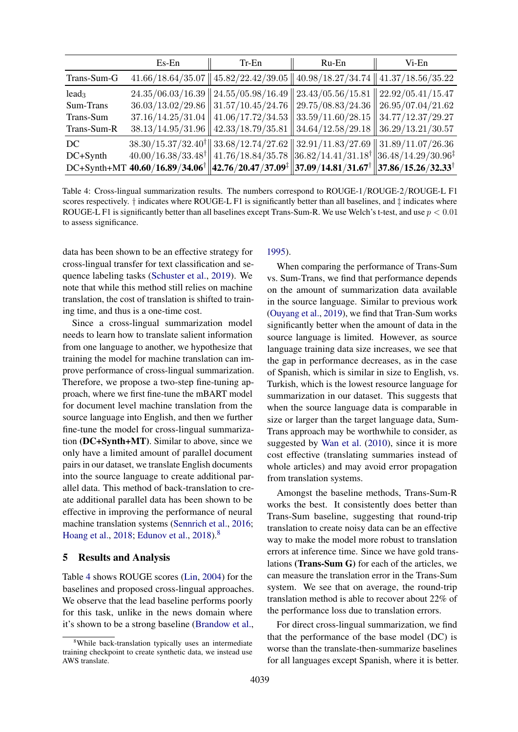<span id="page-5-1"></span>

|             | $Es$ -En          | $Tr-En$                                   | Ru-En                                                                                                                                               | Vi-En             |
|-------------|-------------------|-------------------------------------------|-----------------------------------------------------------------------------------------------------------------------------------------------------|-------------------|
| Trans-Sum-G |                   |                                           | $41.66/18.64/35.07$    $45.82/22.42/39.05$    $40.98/18.27/34.74$    $41.37/18.56/35.22$                                                            |                   |
| $lead_3$    |                   |                                           | $24.35/06.03/16.39$   $24.55/05.98/16.49$   $23.43/05.56/15.81$   $22.92/05.41/15.47$                                                               |                   |
| Sum-Trans   |                   | $36.03/13.02/29.86$   $31.57/10.45/24.76$ | 29.75/08.83/24.36                                                                                                                                   | 26.95/07.04/21.62 |
| Trans-Sum   |                   | $37.16/14.25/31.04$   $41.06/17.72/34.53$ | 33.59/11.60/28.15                                                                                                                                   | 34.77/12.37/29.27 |
| Trans-Sum-R | 38.13/14.95/31.96 | 42.33/18.79/35.81                         | 34.64/12.58/29.18                                                                                                                                   | 36.29/13.21/30.57 |
| DC          |                   |                                           | $38.30/15.37/32.40^{\dagger}$ 3.68/12.74/27.62 32.91/11.83/27.69 31.89/11.07/26.36                                                                  |                   |
| DC+Synth    |                   |                                           | $40.00/16.38/33.48$ <sup>†</sup> $\ $ 41.76/18.84/35.78 $\ $ 36.82/14.41/31.18 <sup>†</sup> $\ $ 36.48/14.29/30.96 <sup>‡</sup>                     |                   |
|             |                   |                                           | DC+Synth+MT 40.60/16.89/34.06 <sup>†</sup> $  42.76/20.47/37.09$ <sup>‡</sup> $  37.09/14.81/31.67$ <sup>†</sup> $  37.86/15.26/32.33$ <sup>†</sup> |                   |

Table 4: Cross-lingual summarization results. The numbers correspond to ROUGE-1/ROUGE-2/ROUGE-L F1 scores respectively. † indicates where ROUGE-L F1 is significantly better than all baselines, and ‡ indicates where ROUGE-L F1 is significantly better than all baselines except Trans-Sum-R. We use Welch's t-test, and use  $p < 0.01$ to assess significance.

data has been shown to be an effective strategy for cross-lingual transfer for text classification and sequence labeling tasks [\(Schuster et al.,](#page-10-1) [2019\)](#page-10-1). We note that while this method still relies on machine translation, the cost of translation is shifted to training time, and thus is a one-time cost.

Since a cross-lingual summarization model needs to learn how to translate salient information from one language to another, we hypothesize that training the model for machine translation can improve performance of cross-lingual summarization. Therefore, we propose a two-step fine-tuning approach, where we first fine-tune the mBART model for document level machine translation from the source language into English, and then we further fine-tune the model for cross-lingual summarization (DC+Synth+MT). Similar to above, since we only have a limited amount of parallel document pairs in our dataset, we translate English documents into the source language to create additional parallel data. This method of back-translation to create additional parallel data has been shown to be effective in improving the performance of neural machine translation systems [\(Sennrich et al.,](#page-10-2) [2016;](#page-10-2) [Hoang et al.,](#page-9-11) [2018;](#page-9-11) [Edunov et al.,](#page-8-5) [2018\)](#page-8-5).[8](#page-5-0)

#### 5 Results and Analysis

Table [4](#page-5-1) shows ROUGE scores [\(Lin,](#page-9-12) [2004\)](#page-9-12) for the baselines and proposed cross-lingual approaches. We observe that the lead baseline performs poorly for this task, unlike in the news domain where it's shown to be a strong baseline [\(Brandow et al.,](#page-8-2)

### [1995\)](#page-8-2).

When comparing the performance of Trans-Sum vs. Sum-Trans, we find that performance depends on the amount of summarization data available in the source language. Similar to previous work [\(Ouyang et al.,](#page-9-6) [2019\)](#page-9-6), we find that Tran-Sum works significantly better when the amount of data in the source language is limited. However, as source language training data size increases, we see that the gap in performance decreases, as in the case of Spanish, which is similar in size to English, vs. Turkish, which is the lowest resource language for summarization in our dataset. This suggests that when the source language data is comparable in size or larger than the target language data, Sum-Trans approach may be worthwhile to consider, as suggested by [Wan et al.](#page-10-3) [\(2010\)](#page-10-3), since it is more cost effective (translating summaries instead of whole articles) and may avoid error propagation from translation systems.

Amongst the baseline methods, Trans-Sum-R works the best. It consistently does better than Trans-Sum baseline, suggesting that round-trip translation to create noisy data can be an effective way to make the model more robust to translation errors at inference time. Since we have gold translations (Trans-Sum G) for each of the articles, we can measure the translation error in the Trans-Sum system. We see that on average, the round-trip translation method is able to recover about 22% of the performance loss due to translation errors.

For direct cross-lingual summarization, we find that the performance of the base model (DC) is worse than the translate-then-summarize baselines for all languages except Spanish, where it is better.

<span id="page-5-0"></span><sup>&</sup>lt;sup>8</sup>While back-translation typically uses an intermediate training checkpoint to create synthetic data, we instead use AWS translate.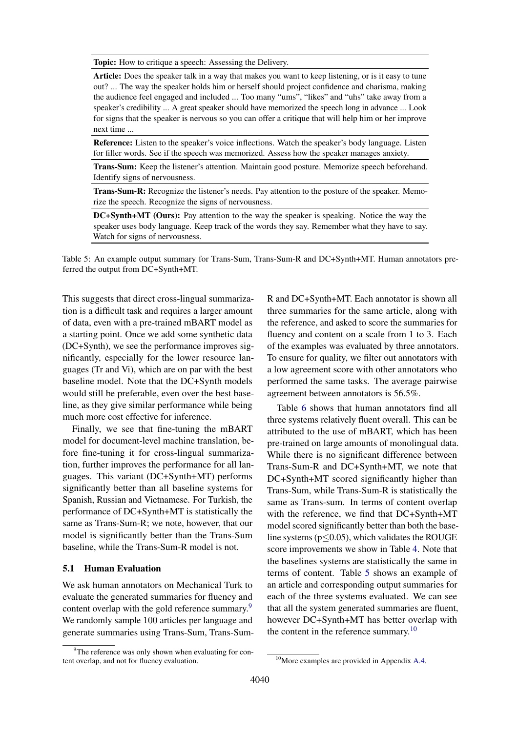<span id="page-6-1"></span>Topic: How to critique a speech: Assessing the Delivery.

Article: Does the speaker talk in a way that makes you want to keep listening, or is it easy to tune out? ... The way the speaker holds him or herself should project confidence and charisma, making the audience feel engaged and included ... Too many "ums", "likes" and "uhs" take away from a speaker's credibility ... A great speaker should have memorized the speech long in advance ... Look for signs that the speaker is nervous so you can offer a critique that will help him or her improve next time ...

Reference: Listen to the speaker's voice inflections. Watch the speaker's body language. Listen for filler words. See if the speech was memorized. Assess how the speaker manages anxiety.

Trans-Sum: Keep the listener's attention. Maintain good posture. Memorize speech beforehand. Identify signs of nervousness.

Trans-Sum-R: Recognize the listener's needs. Pay attention to the posture of the speaker. Memorize the speech. Recognize the signs of nervousness.

DC+Synth+MT (Ours): Pay attention to the way the speaker is speaking. Notice the way the speaker uses body language. Keep track of the words they say. Remember what they have to say. Watch for signs of nervousness.

Table 5: An example output summary for Trans-Sum, Trans-Sum-R and DC+Synth+MT. Human annotators preferred the output from DC+Synth+MT.

This suggests that direct cross-lingual summarization is a difficult task and requires a larger amount of data, even with a pre-trained mBART model as a starting point. Once we add some synthetic data (DC+Synth), we see the performance improves significantly, especially for the lower resource languages (Tr and Vi), which are on par with the best baseline model. Note that the DC+Synth models would still be preferable, even over the best baseline, as they give similar performance while being much more cost effective for inference.

Finally, we see that fine-tuning the mBART model for document-level machine translation, before fine-tuning it for cross-lingual summarization, further improves the performance for all languages. This variant (DC+Synth+MT) performs significantly better than all baseline systems for Spanish, Russian and Vietnamese. For Turkish, the performance of DC+Synth+MT is statistically the same as Trans-Sum-R; we note, however, that our model is significantly better than the Trans-Sum baseline, while the Trans-Sum-R model is not.

## 5.1 Human Evaluation

We ask human annotators on Mechanical Turk to evaluate the generated summaries for fluency and content overlap with the gold reference summary.<sup>[9](#page-6-0)</sup> We randomly sample 100 articles per language and generate summaries using Trans-Sum, Trans-Sum-

R and DC+Synth+MT. Each annotator is shown all three summaries for the same article, along with the reference, and asked to score the summaries for fluency and content on a scale from 1 to 3. Each of the examples was evaluated by three annotators. To ensure for quality, we filter out annotators with a low agreement score with other annotators who performed the same tasks. The average pairwise agreement between annotators is 56.5%.

Table [6](#page-7-0) shows that human annotators find all three systems relatively fluent overall. This can be attributed to the use of mBART, which has been pre-trained on large amounts of monolingual data. While there is no significant difference between Trans-Sum-R and DC+Synth+MT, we note that DC+Synth+MT scored significantly higher than Trans-Sum, while Trans-Sum-R is statistically the same as Trans-sum. In terms of content overlap with the reference, we find that DC+Synth+MT model scored significantly better than both the baseline systems ( $p$ <0.05), which validates the ROUGE score improvements we show in Table [4.](#page-5-1) Note that the baselines systems are statistically the same in terms of content. Table [5](#page-6-1) shows an example of an article and corresponding output summaries for each of the three systems evaluated. We can see that all the system generated summaries are fluent, however DC+Synth+MT has better overlap with the content in the reference summary.<sup>[10](#page-6-2)</sup>

<span id="page-6-0"></span> $9^9$ The reference was only shown when evaluating for content overlap, and not for fluency evaluation.

<span id="page-6-2"></span><sup>&</sup>lt;sup>10</sup>More examples are provided in Appendix [A.4.](#page-12-0)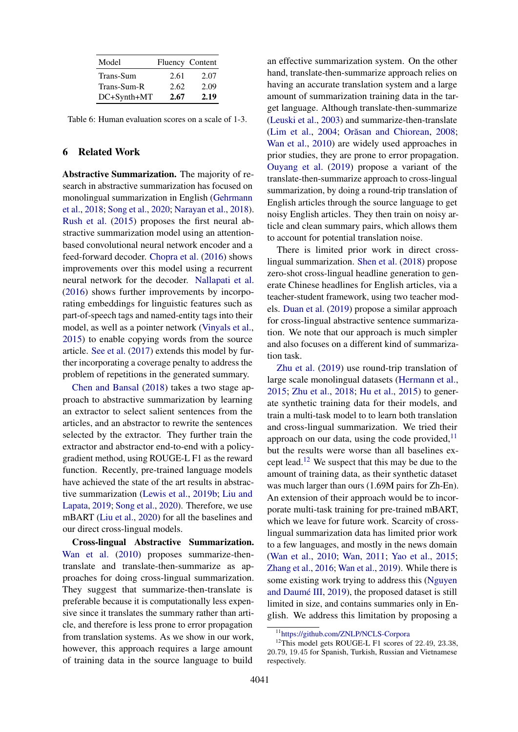<span id="page-7-0"></span>

| Model       |      | <b>Fluency Content</b> |
|-------------|------|------------------------|
| Trans-Sum   | 2.61 | 2.07                   |
| Trans-Sum-R | 2.62 | 2.09                   |
| DC+Synth+MT | 2.67 | 2.19                   |

Table 6: Human evaluation scores on a scale of 1-3.

## 6 Related Work

Abstractive Summarization. The majority of research in abstractive summarization has focused on monolingual summarization in English [\(Gehrmann](#page-8-6) [et al.,](#page-8-6) [2018;](#page-8-6) [Song et al.,](#page-10-0) [2020;](#page-10-0) [Narayan et al.,](#page-9-13) [2018\)](#page-9-13). [Rush et al.](#page-10-4) [\(2015\)](#page-10-4) proposes the first neural abstractive summarization model using an attentionbased convolutional neural network encoder and a feed-forward decoder. [Chopra et al.](#page-8-7) [\(2016\)](#page-8-7) shows improvements over this model using a recurrent neural network for the decoder. [Nallapati et al.](#page-9-14) [\(2016\)](#page-9-14) shows further improvements by incorporating embeddings for linguistic features such as part-of-speech tags and named-entity tags into their model, as well as a pointer network [\(Vinyals et al.,](#page-10-5) [2015\)](#page-10-5) to enable copying words from the source article. [See et al.](#page-10-6) [\(2017\)](#page-10-6) extends this model by further incorporating a coverage penalty to address the problem of repetitions in the generated summary.

[Chen and Bansal](#page-8-8) [\(2018\)](#page-8-8) takes a two stage approach to abstractive summarization by learning an extractor to select salient sentences from the articles, and an abstractor to rewrite the sentences selected by the extractor. They further train the extractor and abstractor end-to-end with a policygradient method, using ROUGE-L F1 as the reward function. Recently, pre-trained language models have achieved the state of the art results in abstractive summarization [\(Lewis et al.,](#page-9-7) [2019b;](#page-9-7) [Liu and](#page-9-8) [Lapata,](#page-9-8) [2019;](#page-9-8) [Song et al.,](#page-10-0) [2020\)](#page-10-0). Therefore, we use mBART [\(Liu et al.,](#page-9-9) [2020\)](#page-9-9) for all the baselines and our direct cross-lingual models.

Cross-lingual Abstractive Summarization. [Wan et al.](#page-10-3) [\(2010\)](#page-10-3) proposes summarize-thentranslate and translate-then-summarize as approaches for doing cross-lingual summarization. They suggest that summarize-then-translate is preferable because it is computationally less expensive since it translates the summary rather than article, and therefore is less prone to error propagation from translation systems. As we show in our work, however, this approach requires a large amount of training data in the source language to build

an effective summarization system. On the other hand, translate-then-summarize approach relies on having an accurate translation system and a large amount of summarization training data in the target language. Although translate-then-summarize [\(Leuski et al.,](#page-9-15) [2003\)](#page-9-15) and summarize-then-translate [\(Lim et al.,](#page-9-16) [2004;](#page-9-16) Orăsan and Chiorean, [2008;](#page-9-17) [Wan et al.,](#page-10-3) [2010\)](#page-10-3) are widely used approaches in prior studies, they are prone to error propagation. [Ouyang et al.](#page-9-6) [\(2019\)](#page-9-6) propose a variant of the translate-then-summarize approach to cross-lingual summarization, by doing a round-trip translation of English articles through the source language to get noisy English articles. They then train on noisy article and clean summary pairs, which allows them to account for potential translation noise.

There is limited prior work in direct crosslingual summarization. [Shen et al.](#page-10-7) [\(2018\)](#page-10-7) propose zero-shot cross-lingual headline generation to generate Chinese headlines for English articles, via a teacher-student framework, using two teacher models. [Duan et al.](#page-8-9) [\(2019\)](#page-8-9) propose a similar approach for cross-lingual abstractive sentence summarization. We note that our approach is much simpler and also focuses on a different kind of summarization task.

[Zhu et al.](#page-10-8) [\(2019\)](#page-10-8) use round-trip translation of large scale monolingual datasets [\(Hermann et al.,](#page-9-18) [2015;](#page-9-18) [Zhu et al.,](#page-10-9) [2018;](#page-10-9) [Hu et al.,](#page-9-19) [2015\)](#page-9-19) to generate synthetic training data for their models, and train a multi-task model to to learn both translation and cross-lingual summarization. We tried their approach on our data, using the code provided,  $\frac{11}{11}$  $\frac{11}{11}$  $\frac{11}{11}$ but the results were worse than all baselines ex-cept lead.<sup>[12](#page-7-2)</sup> We suspect that this may be due to the amount of training data, as their synthetic dataset was much larger than ours (1.69M pairs for Zh-En). An extension of their approach would be to incorporate multi-task training for pre-trained mBART, which we leave for future work. Scarcity of crosslingual summarization data has limited prior work to a few languages, and mostly in the news domain [\(Wan et al.,](#page-10-3) [2010;](#page-10-3) [Wan,](#page-10-10) [2011;](#page-10-10) [Yao et al.,](#page-10-11) [2015;](#page-10-11) [Zhang et al.,](#page-10-12) [2016;](#page-10-12) [Wan et al.,](#page-10-13) [2019\)](#page-10-13). While there is some existing work trying to address this [\(Nguyen](#page-9-2) and Daumé III,  $2019$ ), the proposed dataset is still limited in size, and contains summaries only in English. We address this limitation by proposing a

<span id="page-7-2"></span><span id="page-7-1"></span><sup>11</sup><https://github.com/ZNLP/NCLS-Corpora>

<sup>&</sup>lt;sup>12</sup>This model gets ROUGE-L F1 scores of 22.49, 23.38, 20.79, 19.45 for Spanish, Turkish, Russian and Vietnamese respectively.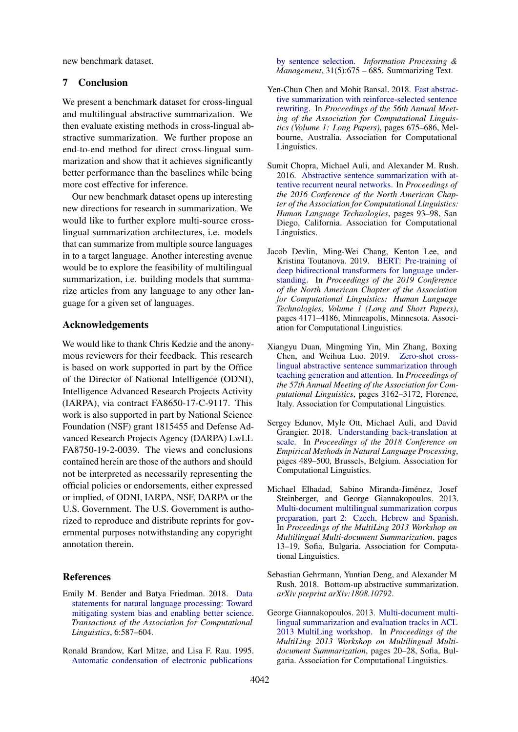new benchmark dataset.

## 7 Conclusion

We present a benchmark dataset for cross-lingual and multilingual abstractive summarization. We then evaluate existing methods in cross-lingual abstractive summarization. We further propose an end-to-end method for direct cross-lingual summarization and show that it achieves significantly better performance than the baselines while being more cost effective for inference.

Our new benchmark dataset opens up interesting new directions for research in summarization. We would like to further explore multi-source crosslingual summarization architectures, i.e. models that can summarize from multiple source languages in to a target language. Another interesting avenue would be to explore the feasibility of multilingual summarization, i.e. building models that summarize articles from any language to any other language for a given set of languages.

#### Acknowledgements

We would like to thank Chris Kedzie and the anonymous reviewers for their feedback. This research is based on work supported in part by the Office of the Director of National Intelligence (ODNI), Intelligence Advanced Research Projects Activity (IARPA), via contract FA8650-17-C-9117. This work is also supported in part by National Science Foundation (NSF) grant 1815455 and Defense Advanced Research Projects Agency (DARPA) LwLL FA8750-19-2-0039. The views and conclusions contained herein are those of the authors and should not be interpreted as necessarily representing the official policies or endorsements, either expressed or implied, of ODNI, IARPA, NSF, DARPA or the U.S. Government. The U.S. Government is authorized to reproduce and distribute reprints for governmental purposes notwithstanding any copyright annotation therein.

#### References

- <span id="page-8-3"></span>Emily M. Bender and Batya Friedman. 2018. [Data](https://doi.org/10.1162/tacl_a_00041) [statements for natural language processing: Toward](https://doi.org/10.1162/tacl_a_00041) [mitigating system bias and enabling better science.](https://doi.org/10.1162/tacl_a_00041) *Transactions of the Association for Computational Linguistics*, 6:587–604.
- <span id="page-8-2"></span>Ronald Brandow, Karl Mitze, and Lisa F. Rau. 1995. [Automatic condensation of electronic publications](https://doi.org/https://doi.org/10.1016/0306-4573(95)00052-I)

[by sentence selection.](https://doi.org/https://doi.org/10.1016/0306-4573(95)00052-I) *Information Processing & Management*, 31(5):675 – 685. Summarizing Text.

- <span id="page-8-8"></span>Yen-Chun Chen and Mohit Bansal. 2018. [Fast abstrac](https://doi.org/10.18653/v1/P18-1063)[tive summarization with reinforce-selected sentence](https://doi.org/10.18653/v1/P18-1063) [rewriting.](https://doi.org/10.18653/v1/P18-1063) In *Proceedings of the 56th Annual Meeting of the Association for Computational Linguistics (Volume 1: Long Papers)*, pages 675–686, Melbourne, Australia. Association for Computational Linguistics.
- <span id="page-8-7"></span>Sumit Chopra, Michael Auli, and Alexander M. Rush. 2016. [Abstractive sentence summarization with at](https://doi.org/10.18653/v1/N16-1012)[tentive recurrent neural networks.](https://doi.org/10.18653/v1/N16-1012) In *Proceedings of the 2016 Conference of the North American Chapter of the Association for Computational Linguistics: Human Language Technologies*, pages 93–98, San Diego, California. Association for Computational Linguistics.
- <span id="page-8-4"></span>Jacob Devlin, Ming-Wei Chang, Kenton Lee, and Kristina Toutanova. 2019. [BERT: Pre-training of](https://doi.org/10.18653/v1/N19-1423) [deep bidirectional transformers for language under](https://doi.org/10.18653/v1/N19-1423)[standing.](https://doi.org/10.18653/v1/N19-1423) In *Proceedings of the 2019 Conference of the North American Chapter of the Association for Computational Linguistics: Human Language Technologies, Volume 1 (Long and Short Papers)*, pages 4171–4186, Minneapolis, Minnesota. Association for Computational Linguistics.
- <span id="page-8-9"></span>Xiangyu Duan, Mingming Yin, Min Zhang, Boxing Chen, and Weihua Luo. 2019. [Zero-shot cross](https://doi.org/10.18653/v1/P19-1305)[lingual abstractive sentence summarization through](https://doi.org/10.18653/v1/P19-1305) [teaching generation and attention.](https://doi.org/10.18653/v1/P19-1305) In *Proceedings of the 57th Annual Meeting of the Association for Computational Linguistics*, pages 3162–3172, Florence, Italy. Association for Computational Linguistics.
- <span id="page-8-5"></span>Sergey Edunov, Myle Ott, Michael Auli, and David Grangier. 2018. [Understanding back-translation at](https://doi.org/10.18653/v1/D18-1045) [scale.](https://doi.org/10.18653/v1/D18-1045) In *Proceedings of the 2018 Conference on Empirical Methods in Natural Language Processing*, pages 489–500, Brussels, Belgium. Association for Computational Linguistics.
- <span id="page-8-1"></span>Michael Elhadad, Sabino Miranda-Jiménez, Josef Steinberger, and George Giannakopoulos. 2013. [Multi-document multilingual summarization corpus](https://www.aclweb.org/anthology/W13-3102) [preparation, part 2: Czech, Hebrew and Spanish.](https://www.aclweb.org/anthology/W13-3102) In *Proceedings of the MultiLing 2013 Workshop on Multilingual Multi-document Summarization*, pages 13–19, Sofia, Bulgaria. Association for Computational Linguistics.
- <span id="page-8-6"></span>Sebastian Gehrmann, Yuntian Deng, and Alexander M Rush. 2018. Bottom-up abstractive summarization. *arXiv preprint arXiv:1808.10792*.
- <span id="page-8-0"></span>George Giannakopoulos. 2013. [Multi-document multi](https://www.aclweb.org/anthology/W13-3103)[lingual summarization and evaluation tracks in ACL](https://www.aclweb.org/anthology/W13-3103) [2013 MultiLing workshop.](https://www.aclweb.org/anthology/W13-3103) In *Proceedings of the MultiLing 2013 Workshop on Multilingual Multidocument Summarization*, pages 20–28, Sofia, Bulgaria. Association for Computational Linguistics.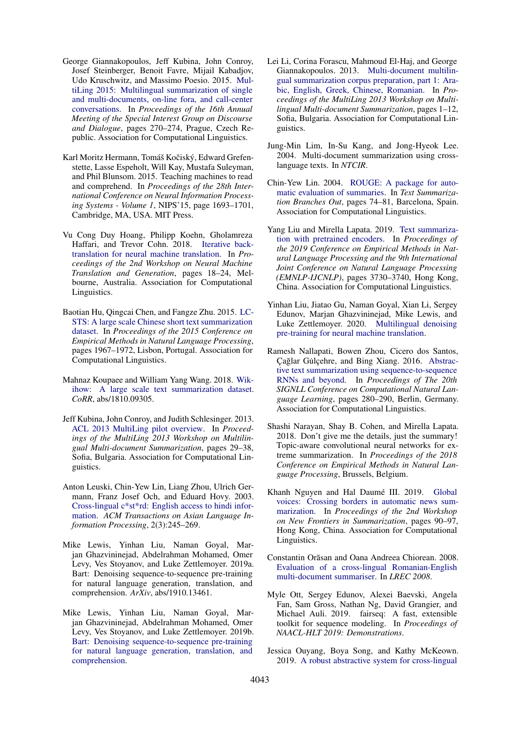- <span id="page-9-5"></span>George Giannakopoulos, Jeff Kubina, John Conroy, Josef Steinberger, Benoit Favre, Mijail Kabadjov, Udo Kruschwitz, and Massimo Poesio. 2015. [Mul](https://doi.org/10.18653/v1/W15-4638)[tiLing 2015: Multilingual summarization of single](https://doi.org/10.18653/v1/W15-4638) [and multi-documents, on-line fora, and call-center](https://doi.org/10.18653/v1/W15-4638) [conversations.](https://doi.org/10.18653/v1/W15-4638) In *Proceedings of the 16th Annual Meeting of the Special Interest Group on Discourse and Dialogue*, pages 270–274, Prague, Czech Republic. Association for Computational Linguistics.
- <span id="page-9-18"></span>Karl Moritz Hermann, Tomáš Kočiský, Edward Grefenstette, Lasse Espeholt, Will Kay, Mustafa Suleyman, and Phil Blunsom. 2015. Teaching machines to read and comprehend. In *Proceedings of the 28th International Conference on Neural Information Processing Systems - Volume 1*, NIPS'15, page 1693–1701, Cambridge, MA, USA. MIT Press.
- <span id="page-9-11"></span>Vu Cong Duy Hoang, Philipp Koehn, Gholamreza Haffari, and Trevor Cohn. 2018. [Iterative back](https://doi.org/10.18653/v1/W18-2703)[translation for neural machine translation.](https://doi.org/10.18653/v1/W18-2703) In *Proceedings of the 2nd Workshop on Neural Machine Translation and Generation*, pages 18–24, Melbourne, Australia. Association for Computational Linguistics.
- <span id="page-9-19"></span>Baotian Hu, Qingcai Chen, and Fangze Zhu. 2015. [LC-](https://doi.org/10.18653/v1/D15-1229)[STS: A large scale Chinese short text summarization](https://doi.org/10.18653/v1/D15-1229) [dataset.](https://doi.org/10.18653/v1/D15-1229) In *Proceedings of the 2015 Conference on Empirical Methods in Natural Language Processing*, pages 1967–1972, Lisbon, Portugal. Association for Computational Linguistics.
- <span id="page-9-3"></span>Mahnaz Koupaee and William Yang Wang. 2018. [Wik](http://arxiv.org/abs/1810.09305)[ihow: A large scale text summarization dataset.](http://arxiv.org/abs/1810.09305) *CoRR*, abs/1810.09305.
- <span id="page-9-4"></span>Jeff Kubina, John Conroy, and Judith Schlesinger. 2013. [ACL 2013 MultiLing pilot overview.](https://www.aclweb.org/anthology/W13-3104) In *Proceedings of the MultiLing 2013 Workshop on Multilingual Multi-document Summarization*, pages 29–38, Sofia, Bulgaria. Association for Computational Linguistics.
- <span id="page-9-15"></span>Anton Leuski, Chin-Yew Lin, Liang Zhou, Ulrich Germann, Franz Josef Och, and Eduard Hovy. 2003. [Cross-lingual c\\*st\\*rd: English access to hindi infor](https://doi.org/10.1145/979872.979877)[mation.](https://doi.org/10.1145/979872.979877) *ACM Transactions on Asian Language Information Processing*, 2(3):245–269.
- <span id="page-9-0"></span>Mike Lewis, Yinhan Liu, Naman Goyal, Marjan Ghazvininejad, Abdelrahman Mohamed, Omer Levy, Ves Stoyanov, and Luke Zettlemoyer. 2019a. Bart: Denoising sequence-to-sequence pre-training for natural language generation, translation, and comprehension. *ArXiv*, abs/1910.13461.
- <span id="page-9-7"></span>Mike Lewis, Yinhan Liu, Naman Goyal, Marjan Ghazvininejad, Abdelrahman Mohamed, Omer Levy, Ves Stoyanov, and Luke Zettlemoyer. 2019b. [Bart: Denoising sequence-to-sequence pre-training](http://arxiv.org/abs/1910.13461) [for natural language generation, translation, and](http://arxiv.org/abs/1910.13461) [comprehension.](http://arxiv.org/abs/1910.13461)
- <span id="page-9-1"></span>Lei Li, Corina Forascu, Mahmoud El-Haj, and George Giannakopoulos. 2013. [Multi-document multilin](https://www.aclweb.org/anthology/W13-3101)[gual summarization corpus preparation, part 1: Ara](https://www.aclweb.org/anthology/W13-3101)[bic, English, Greek, Chinese, Romanian.](https://www.aclweb.org/anthology/W13-3101) In *Proceedings of the MultiLing 2013 Workshop on Multilingual Multi-document Summarization*, pages 1–12, Sofia, Bulgaria. Association for Computational Linguistics.
- <span id="page-9-16"></span>Jung-Min Lim, In-Su Kang, and Jong-Hyeok Lee. 2004. Multi-document summarization using crosslanguage texts. In *NTCIR*.
- <span id="page-9-12"></span>Chin-Yew Lin. 2004. [ROUGE: A package for auto](https://www.aclweb.org/anthology/W04-1013)[matic evaluation of summaries.](https://www.aclweb.org/anthology/W04-1013) In *Text Summarization Branches Out*, pages 74–81, Barcelona, Spain. Association for Computational Linguistics.
- <span id="page-9-8"></span>Yang Liu and Mirella Lapata. 2019. [Text summariza](https://doi.org/10.18653/v1/D19-1387)[tion with pretrained encoders.](https://doi.org/10.18653/v1/D19-1387) In *Proceedings of the 2019 Conference on Empirical Methods in Natural Language Processing and the 9th International Joint Conference on Natural Language Processing (EMNLP-IJCNLP)*, pages 3730–3740, Hong Kong, China. Association for Computational Linguistics.
- <span id="page-9-9"></span>Yinhan Liu, Jiatao Gu, Naman Goyal, Xian Li, Sergey Edunov, Marjan Ghazvininejad, Mike Lewis, and Luke Zettlemoyer. 2020. [Multilingual denoising](http://arxiv.org/abs/2001.08210) [pre-training for neural machine translation.](http://arxiv.org/abs/2001.08210)
- <span id="page-9-14"></span>Ramesh Nallapati, Bowen Zhou, Cicero dos Santos, Cağlar Gülcehre, and Bing Xiang. 2016. [Abstrac](https://doi.org/10.18653/v1/K16-1028)[tive text summarization using sequence-to-sequence](https://doi.org/10.18653/v1/K16-1028) [RNNs and beyond.](https://doi.org/10.18653/v1/K16-1028) In *Proceedings of The 20th SIGNLL Conference on Computational Natural Language Learning*, pages 280–290, Berlin, Germany. Association for Computational Linguistics.
- <span id="page-9-13"></span>Shashi Narayan, Shay B. Cohen, and Mirella Lapata. 2018. Don't give me the details, just the summary! Topic-aware convolutional neural networks for extreme summarization. In *Proceedings of the 2018 Conference on Empirical Methods in Natural Language Processing*, Brussels, Belgium.
- <span id="page-9-2"></span>Khanh Nguyen and Hal Daumé III. 2019. [Global](https://doi.org/10.18653/v1/D19-5411) [voices: Crossing borders in automatic news sum](https://doi.org/10.18653/v1/D19-5411)[marization.](https://doi.org/10.18653/v1/D19-5411) In *Proceedings of the 2nd Workshop on New Frontiers in Summarization*, pages 90–97, Hong Kong, China. Association for Computational Linguistics.
- <span id="page-9-17"></span>Constantin Orăsan and Oana Andreea Chiorean. 2008. [Evaluation of a cross-lingual Romanian-English](http://www.lrec-conf.org/proceedings/lrec2008/pdf/539_paper.pdf) [multi-document summariser.](http://www.lrec-conf.org/proceedings/lrec2008/pdf/539_paper.pdf) In *LREC 2008*.
- <span id="page-9-10"></span>Myle Ott, Sergey Edunov, Alexei Baevski, Angela Fan, Sam Gross, Nathan Ng, David Grangier, and Michael Auli. 2019. fairseq: A fast, extensible toolkit for sequence modeling. In *Proceedings of NAACL-HLT 2019: Demonstrations*.
- <span id="page-9-6"></span>Jessica Ouyang, Boya Song, and Kathy McKeown. 2019. [A robust abstractive system for cross-lingual](https://doi.org/10.18653/v1/N19-1204)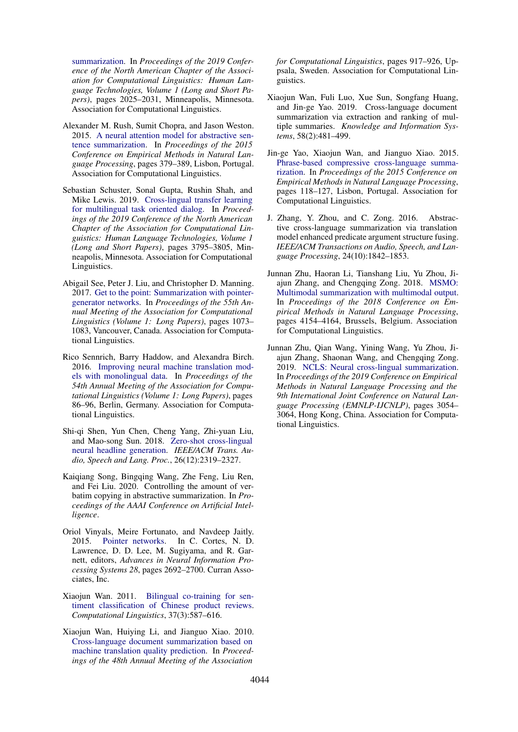[summarization.](https://doi.org/10.18653/v1/N19-1204) In *Proceedings of the 2019 Conference of the North American Chapter of the Association for Computational Linguistics: Human Language Technologies, Volume 1 (Long and Short Papers)*, pages 2025–2031, Minneapolis, Minnesota. Association for Computational Linguistics.

- <span id="page-10-4"></span>Alexander M. Rush, Sumit Chopra, and Jason Weston. 2015. [A neural attention model for abstractive sen](https://doi.org/10.18653/v1/D15-1044)[tence summarization.](https://doi.org/10.18653/v1/D15-1044) In *Proceedings of the 2015 Conference on Empirical Methods in Natural Language Processing*, pages 379–389, Lisbon, Portugal. Association for Computational Linguistics.
- <span id="page-10-1"></span>Sebastian Schuster, Sonal Gupta, Rushin Shah, and Mike Lewis. 2019. [Cross-lingual transfer learning](https://doi.org/10.18653/v1/N19-1380) [for multilingual task oriented dialog.](https://doi.org/10.18653/v1/N19-1380) In *Proceedings of the 2019 Conference of the North American Chapter of the Association for Computational Linguistics: Human Language Technologies, Volume 1 (Long and Short Papers)*, pages 3795–3805, Minneapolis, Minnesota. Association for Computational Linguistics.
- <span id="page-10-6"></span>Abigail See, Peter J. Liu, and Christopher D. Manning. 2017. [Get to the point: Summarization with pointer](https://doi.org/10.18653/v1/P17-1099)[generator networks.](https://doi.org/10.18653/v1/P17-1099) In *Proceedings of the 55th Annual Meeting of the Association for Computational Linguistics (Volume 1: Long Papers)*, pages 1073– 1083, Vancouver, Canada. Association for Computational Linguistics.
- <span id="page-10-2"></span>Rico Sennrich, Barry Haddow, and Alexandra Birch. 2016. [Improving neural machine translation mod](https://doi.org/10.18653/v1/P16-1009)[els with monolingual data.](https://doi.org/10.18653/v1/P16-1009) In *Proceedings of the 54th Annual Meeting of the Association for Computational Linguistics (Volume 1: Long Papers)*, pages 86–96, Berlin, Germany. Association for Computational Linguistics.
- <span id="page-10-7"></span>Shi-qi Shen, Yun Chen, Cheng Yang, Zhi-yuan Liu, and Mao-song Sun. 2018. [Zero-shot cross-lingual](https://doi.org/10.1109/TASLP.2018.2842432) [neural headline generation.](https://doi.org/10.1109/TASLP.2018.2842432) *IEEE/ACM Trans. Audio, Speech and Lang. Proc.*, 26(12):2319–2327.
- <span id="page-10-0"></span>Kaiqiang Song, Bingqing Wang, Zhe Feng, Liu Ren, and Fei Liu. 2020. Controlling the amount of verbatim copying in abstractive summarization. In *Proceedings of the AAAI Conference on Artificial Intelligence*.
- <span id="page-10-5"></span>Oriol Vinyals, Meire Fortunato, and Navdeep Jaitly. 2015. [Pointer networks.](http://papers.nips.cc/paper/5866-pointer-networks.pdf) In C. Cortes, N. D. Lawrence, D. D. Lee, M. Sugiyama, and R. Garnett, editors, *Advances in Neural Information Processing Systems 28*, pages 2692–2700. Curran Associates, Inc.
- <span id="page-10-10"></span>Xiaojun Wan. 2011. [Bilingual co-training for sen](https://doi.org/10.1162/COLI_a_00061)[timent classification of Chinese product reviews.](https://doi.org/10.1162/COLI_a_00061) *Computational Linguistics*, 37(3):587–616.
- <span id="page-10-3"></span>Xiaojun Wan, Huiying Li, and Jianguo Xiao. 2010. [Cross-language document summarization based on](https://www.aclweb.org/anthology/P10-1094) [machine translation quality prediction.](https://www.aclweb.org/anthology/P10-1094) In *Proceedings of the 48th Annual Meeting of the Association*

*for Computational Linguistics*, pages 917–926, Uppsala, Sweden. Association for Computational Linguistics.

- <span id="page-10-13"></span>Xiaojun Wan, Fuli Luo, Xue Sun, Songfang Huang, and Jin-ge Yao. 2019. Cross-language document summarization via extraction and ranking of multiple summaries. *Knowledge and Information Systems*, 58(2):481–499.
- <span id="page-10-11"></span>Jin-ge Yao, Xiaojun Wan, and Jianguo Xiao. 2015. [Phrase-based compressive cross-language summa](https://doi.org/10.18653/v1/D15-1012)[rization.](https://doi.org/10.18653/v1/D15-1012) In *Proceedings of the 2015 Conference on Empirical Methods in Natural Language Processing*, pages 118–127, Lisbon, Portugal. Association for Computational Linguistics.
- <span id="page-10-12"></span>J. Zhang, Y. Zhou, and C. Zong. 2016. Abstractive cross-language summarization via translation model enhanced predicate argument structure fusing. *IEEE/ACM Transactions on Audio, Speech, and Language Processing*, 24(10):1842–1853.
- <span id="page-10-9"></span>Junnan Zhu, Haoran Li, Tianshang Liu, Yu Zhou, Ji-ajun Zhang, and Chengqing Zong, 2018. [MSMO:](https://doi.org/10.18653/v1/D18-1448) [Multimodal summarization with multimodal output.](https://doi.org/10.18653/v1/D18-1448) In *Proceedings of the 2018 Conference on Empirical Methods in Natural Language Processing*, pages 4154–4164, Brussels, Belgium. Association for Computational Linguistics.
- <span id="page-10-8"></span>Junnan Zhu, Qian Wang, Yining Wang, Yu Zhou, Jiajun Zhang, Shaonan Wang, and Chengqing Zong. 2019. [NCLS: Neural cross-lingual summarization.](https://doi.org/10.18653/v1/D19-1302) In *Proceedings of the 2019 Conference on Empirical Methods in Natural Language Processing and the 9th International Joint Conference on Natural Language Processing (EMNLP-IJCNLP)*, pages 3054– 3064, Hong Kong, China. Association for Computational Linguistics.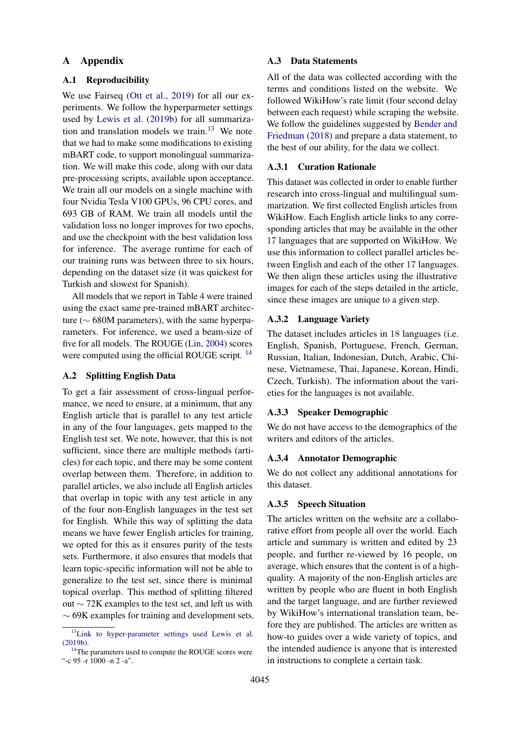## A Appendix

## <span id="page-11-2"></span>A.1 Reproducibility

We use Fairseq [\(Ott et al.,](#page-9-10) [2019\)](#page-9-10) for all our experiments. We follow the hyperparmeter settings used by [Lewis et al.](#page-9-7) [\(2019b\)](#page-9-7) for all summarization and translation models we train.[13](#page-11-3) We note that we had to make some modifications to existing mBART code, to support monolingual summarization. We will make this code, along with our data pre-processing scripts, available upon acceptance. We train all our models on a single machine with four Nvidia Tesla V100 GPUs, 96 CPU cores, and 693 GB of RAM. We train all models until the validation loss no longer improves for two epochs, and use the checkpoint with the best validation loss for inference. The average runtime for each of our training runs was between three to six hours, depending on the dataset size (it was quickest for Turkish and slowest for Spanish).

All models that we report in Table [4](#page-5-1) were trained using the exact same pre-trained mBART architecture ( $\sim$  680M parameters), with the same hyperparameters. For inference, we used a beam-size of five for all models. The ROUGE [\(Lin,](#page-9-12) [2004\)](#page-9-12) scores were computed using the official ROUGE script. <sup>[14](#page-11-4)</sup>

## <span id="page-11-1"></span>A.2 Splitting English Data

To get a fair assessment of cross-lingual performance, we need to ensure, at a minimum, that any English article that is parallel to any test article in any of the four languages, gets mapped to the English test set. We note, however, that this is not sufficient, since there are multiple methods (articles) for each topic, and there may be some content overlap between them. Therefore, in addition to parallel articles, we also include all English articles that overlap in topic with any test article in any of the four non-English languages in the test set for English. While this way of splitting the data means we have fewer English articles for training, we opted for this as it ensures purity of the tests sets. Furthermore, it also ensures that models that learn topic-specific information will not be able to generalize to the test set, since there is minimal topical overlap. This method of splitting filtered out ∼ 72K examples to the test set, and left us with  $\sim$  69K examples for training and development sets.

### <span id="page-11-0"></span>A.3 Data Statements

All of the data was collected according with the terms and conditions listed on the website. We followed WikiHow's rate limit (four second delay between each request) while scraping the website. We follow the guidelines suggested by [Bender and](#page-8-3) [Friedman](#page-8-3) [\(2018\)](#page-8-3) and prepare a data statement, to the best of our ability, for the data we collect.

## A.3.1 Curation Rationale

This dataset was collected in order to enable further research into cross-lingual and multilingual summarization. We first collected English articles from WikiHow. Each English article links to any corresponding articles that may be available in the other 17 languages that are supported on WikiHow. We use this information to collect parallel articles between English and each of the other 17 languages. We then align these articles using the illustrative images for each of the steps detailed in the article, since these images are unique to a given step.

#### A.3.2 Language Variety

The dataset includes articles in 18 languages (i.e. English, Spanish, Portuguese, French, German, Russian, Italian, Indonesian, Dutch, Arabic, Chinese, Vietnamese, Thai, Japanese, Korean, Hindi, Czech, Turkish). The information about the varieties for the languages is not available.

#### A.3.3 Speaker Demographic

We do not have access to the demographics of the writers and editors of the articles.

#### A.3.4 Annotator Demographic

We do not collect any additional annotations for this dataset.

#### A.3.5 Speech Situation

The articles written on the website are a collaborative effort from people all over the world. Each article and summary is written and edited by 23 people, and further re-viewed by 16 people, on average, which ensures that the content is of a highquality. A majority of the non-English articles are written by people who are fluent in both English and the target language, and are further reviewed by WikiHow's international translation team, before they are published. The articles are written as how-to guides over a wide variety of topics, and the intended audience is anyone that is interested in instructions to complete a certain task.

<span id="page-11-3"></span><sup>&</sup>lt;sup>13</sup>[Link to hyper-parameter settings used](https://github.com/pytorch/fairseq/blob/master/examples/bart/README.summarization.md) [Lewis et al.](#page-9-7) [\(2019b\).](https://github.com/pytorch/fairseq/blob/master/examples/bart/README.summarization.md)

<span id="page-11-4"></span><sup>&</sup>lt;sup>14</sup>The parameters used to compute the ROUGE scores were "-c 95 -r 1000 -n 2 -a".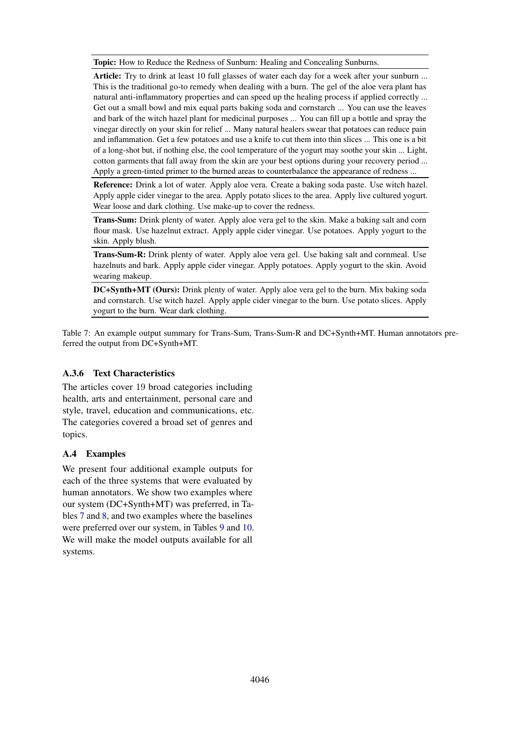<span id="page-12-1"></span>Topic: How to Reduce the Redness of Sunburn: Healing and Concealing Sunburns.

Article: Try to drink at least 10 full glasses of water each day for a week after your sunburn ... This is the traditional go-to remedy when dealing with a burn. The gel of the aloe vera plant has natural anti-inflammatory properties and can speed up the healing process if applied correctly ... Get out a small bowl and mix equal parts baking soda and cornstarch ... You can use the leaves and bark of the witch hazel plant for medicinal purposes ... You can fill up a bottle and spray the vinegar directly on your skin for relief ... Many natural healers swear that potatoes can reduce pain and inflammation. Get a few potatoes and use a knife to cut them into thin slices ... This one is a bit of a long-shot but, if nothing else, the cool temperature of the yogurt may soothe your skin ... Light, cotton garments that fall away from the skin are your best options during your recovery period ... Apply a green-tinted primer to the burned areas to counterbalance the appearance of redness ...

Reference: Drink a lot of water. Apply aloe vera. Create a baking soda paste. Use witch hazel. Apply apple cider vinegar to the area. Apply potato slices to the area. Apply live cultured yogurt. Wear loose and dark clothing. Use make-up to cover the redness.

Trans-Sum: Drink plenty of water. Apply aloe vera gel to the skin. Make a baking salt and corn flour mask. Use hazelnut extract. Apply apple cider vinegar. Use potatoes. Apply yogurt to the skin. Apply blush.

Trans-Sum-R: Drink plenty of water. Apply aloe vera gel. Use baking salt and cornmeal. Use hazelnuts and bark. Apply apple cider vinegar. Apply potatoes. Apply yogurt to the skin. Avoid wearing makeup.

DC+Synth+MT (Ours): Drink plenty of water. Apply aloe vera gel to the burn. Mix baking soda and cornstarch. Use witch hazel. Apply apple cider vinegar to the burn. Use potato slices. Apply yogurt to the burn. Wear dark clothing.

Table 7: An example output summary for Trans-Sum, Trans-Sum-R and DC+Synth+MT. Human annotators preferred the output from DC+Synth+MT.

## A.3.6 Text Characteristics

The articles cover 19 broad categories including health, arts and entertainment, personal care and style, travel, education and communications, etc. The categories covered a broad set of genres and topics.

## <span id="page-12-0"></span>A.4 Examples

We present four additional example outputs for each of the three systems that were evaluated by human annotators. We show two examples where our system (DC+Synth+MT) was preferred, in Tables [7](#page-12-1) and [8,](#page-13-0) and two examples where the baselines were preferred over our system, in Tables [9](#page-13-1) and [10.](#page-14-0) We will make the model outputs available for all systems.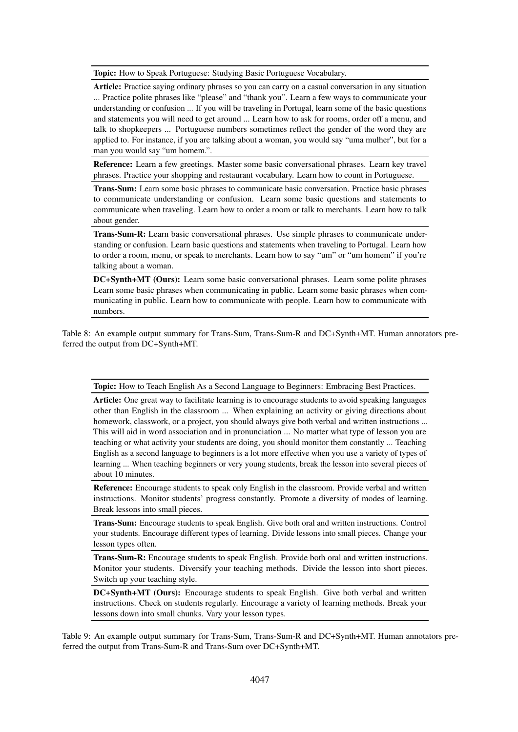<span id="page-13-0"></span>Topic: How to Speak Portuguese: Studying Basic Portuguese Vocabulary.

Article: Practice saying ordinary phrases so you can carry on a casual conversation in any situation ... Practice polite phrases like "please" and "thank you". Learn a few ways to communicate your understanding or confusion ... If you will be traveling in Portugal, learn some of the basic questions and statements you will need to get around ... Learn how to ask for rooms, order off a menu, and talk to shopkeepers ... Portuguese numbers sometimes reflect the gender of the word they are applied to. For instance, if you are talking about a woman, you would say "uma mulher", but for a man you would say "um homem.".

Reference: Learn a few greetings. Master some basic conversational phrases. Learn key travel phrases. Practice your shopping and restaurant vocabulary. Learn how to count in Portuguese.

Trans-Sum: Learn some basic phrases to communicate basic conversation. Practice basic phrases to communicate understanding or confusion. Learn some basic questions and statements to communicate when traveling. Learn how to order a room or talk to merchants. Learn how to talk about gender.

Trans-Sum-R: Learn basic conversational phrases. Use simple phrases to communicate understanding or confusion. Learn basic questions and statements when traveling to Portugal. Learn how to order a room, menu, or speak to merchants. Learn how to say "um" or "um homem" if you're talking about a woman.

DC+Synth+MT (Ours): Learn some basic conversational phrases. Learn some polite phrases Learn some basic phrases when communicating in public. Learn some basic phrases when communicating in public. Learn how to communicate with people. Learn how to communicate with numbers.

Table 8: An example output summary for Trans-Sum, Trans-Sum-R and DC+Synth+MT. Human annotators preferred the output from DC+Synth+MT.

<span id="page-13-1"></span>Topic: How to Teach English As a Second Language to Beginners: Embracing Best Practices.

Article: One great way to facilitate learning is to encourage students to avoid speaking languages other than English in the classroom ... When explaining an activity or giving directions about homework, classwork, or a project, you should always give both verbal and written instructions ... This will aid in word association and in pronunciation ... No matter what type of lesson you are teaching or what activity your students are doing, you should monitor them constantly ... Teaching English as a second language to beginners is a lot more effective when you use a variety of types of learning ... When teaching beginners or very young students, break the lesson into several pieces of about 10 minutes.

Reference: Encourage students to speak only English in the classroom. Provide verbal and written instructions. Monitor students' progress constantly. Promote a diversity of modes of learning. Break lessons into small pieces.

Trans-Sum: Encourage students to speak English. Give both oral and written instructions. Control your students. Encourage different types of learning. Divide lessons into small pieces. Change your lesson types often.

Trans-Sum-R: Encourage students to speak English. Provide both oral and written instructions. Monitor your students. Diversify your teaching methods. Divide the lesson into short pieces. Switch up your teaching style.

DC+Synth+MT (Ours): Encourage students to speak English. Give both verbal and written instructions. Check on students regularly. Encourage a variety of learning methods. Break your lessons down into small chunks. Vary your lesson types.

Table 9: An example output summary for Trans-Sum, Trans-Sum-R and DC+Synth+MT. Human annotators preferred the output from Trans-Sum-R and Trans-Sum over DC+Synth+MT.